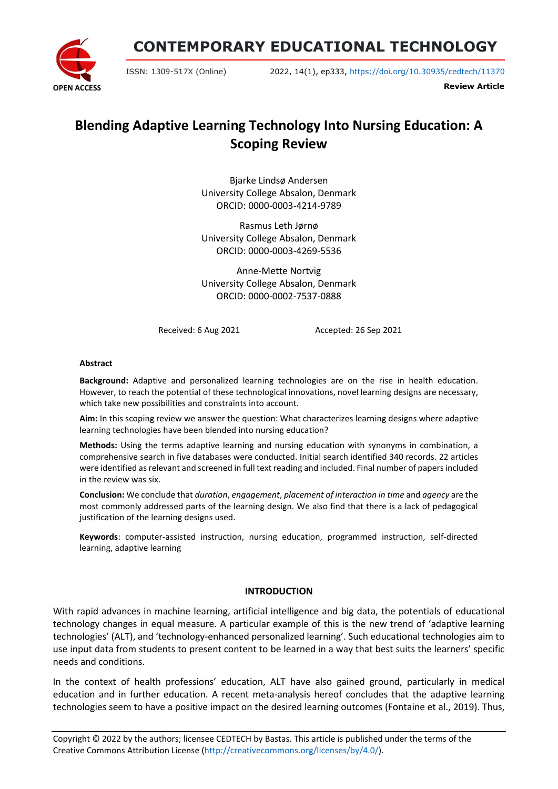**CONTEMPORARY EDUCATIONAL TECHNOLOGY**



ISSN: 1309-517X (Online) 2022, 14(1), ep333, <https://doi.org/10.30935/cedtech/11370>

**Review Article**

# **Blending Adaptive Learning Technology Into Nursing Education: A Scoping Review**

Bjarke Lindsø Andersen University College Absalon, Denmark ORCID: 0000-0003-4214-9789

Rasmus Leth Jørnø University College Absalon, Denmark ORCID: 0000-0003-4269-5536

Anne-Mette Nortvig University College Absalon, Denmark ORCID: 0000-0002-7537-0888

Received: 6 Aug 2021 Accepted: 26 Sep 2021

#### **Abstract**

**Background:** Adaptive and personalized learning technologies are on the rise in health education. However, to reach the potential of these technological innovations, novel learning designs are necessary, which take new possibilities and constraints into account.

**Aim:** In this scoping review we answer the question: What characterizes learning designs where adaptive learning technologies have been blended into nursing education?

**Methods:** Using the terms adaptive learning and nursing education with synonyms in combination, a comprehensive search in five databases were conducted. Initial search identified 340 records. 22 articles were identified as relevant and screened in full text reading and included. Final number of papers included in the review was six.

**Conclusion:** We conclude that *duration*, *engagement*, *placement of interaction in time* and *agency* are the most commonly addressed parts of the learning design. We also find that there is a lack of pedagogical justification of the learning designs used.

**Keywords**: computer-assisted instruction, nursing education, programmed instruction, self-directed learning, adaptive learning

#### **INTRODUCTION**

With rapid advances in machine learning, artificial intelligence and big data, the potentials of educational technology changes in equal measure. A particular example of this is the new trend of 'adaptive learning technologies' (ALT), and 'technology-enhanced personalized learning'. Such educational technologies aim to use input data from students to present content to be learned in a way that best suits the learners' specific needs and conditions.

In the context of health professions' education, ALT have also gained ground, particularly in medical education and in further education. A recent meta-analysis hereof concludes that the adaptive learning technologies seem to have a positive impact on the desired learning outcomes (Fontaine et al., 2019). Thus,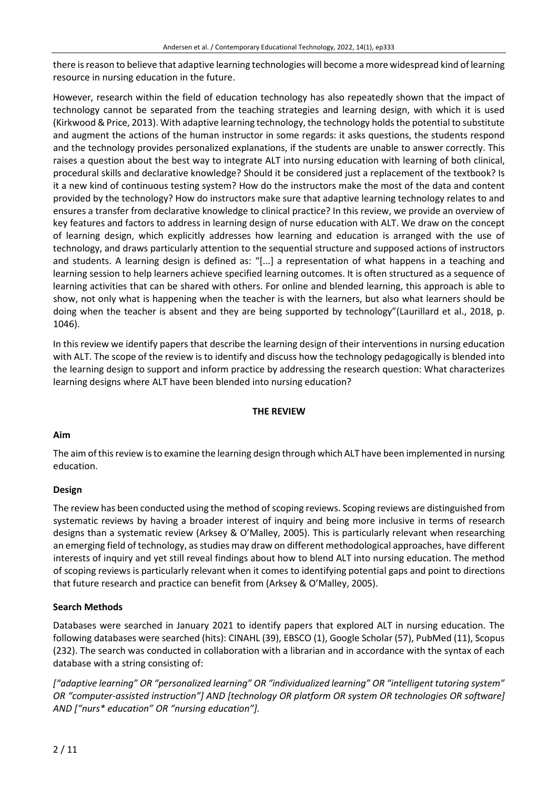there isreason to believe that adaptive learning technologies will become a more widespread kind of learning resource in nursing education in the future.

However, research within the field of education technology has also repeatedly shown that the impact of technology cannot be separated from the teaching strategies and learning design, with which it is used (Kirkwood & Price, 2013). With adaptive learning technology, the technology holdsthe potential to substitute and augment the actions of the human instructor in some regards: it asks questions, the students respond and the technology provides personalized explanations, if the students are unable to answer correctly. This raises a question about the best way to integrate ALT into nursing education with learning of both clinical, procedural skills and declarative knowledge? Should it be considered just a replacement of the textbook? Is it a new kind of continuous testing system? How do the instructors make the most of the data and content provided by the technology? How do instructors make sure that adaptive learning technology relates to and ensures a transfer from declarative knowledge to clinical practice? In this review, we provide an overview of key features and factors to address in learning design of nurse education with ALT. We draw on the concept of learning design, which explicitly addresses how learning and education is arranged with the use of technology, and draws particularly attention to the sequential structure and supposed actions of instructors and students. A learning design is defined as: "[...] a representation of what happens in a teaching and learning session to help learners achieve specified learning outcomes. It is often structured as a sequence of learning activities that can be shared with others. For online and blended learning, this approach is able to show, not only what is happening when the teacher is with the learners, but also what learners should be doing when the teacher is absent and they are being supported by technology"(Laurillard et al., 2018, p. 1046).

In this review we identify papers that describe the learning design of their interventions in nursing education with ALT. The scope of the review is to identify and discuss how the technology pedagogically is blended into the learning design to support and inform practice by addressing the research question: What characterizes learning designs where ALT have been blended into nursing education?

# **THE REVIEW**

# **Aim**

The aim ofthisreview isto examine the learning design through which ALT have been implemented in nursing education.

# **Design**

The review has been conducted using the method of scoping reviews. Scoping reviews are distinguished from systematic reviews by having a broader interest of inquiry and being more inclusive in terms of research designs than a systematic review (Arksey & O'Malley, 2005). This is particularly relevant when researching an emerging field of technology, as studies may draw on different methodological approaches, have different interests of inquiry and yet still reveal findings about how to blend ALT into nursing education. The method of scoping reviews is particularly relevant when it comes to identifying potential gaps and point to directions that future research and practice can benefit from (Arksey & O'Malley, 2005).

# **Search Methods**

Databases were searched in January 2021 to identify papers that explored ALT in nursing education. The following databases were searched (hits): CINAHL (39), EBSCO (1), Google Scholar (57), PubMed (11), Scopus (232). The search was conducted in collaboration with a librarian and in accordance with the syntax of each database with a string consisting of:

*["adaptive learning" OR "personalized learning" OR "individualized learning" OR "intelligent tutoring system" OR "computer-assisted instruction"] AND [technology OR platform OR system OR technologies OR software] AND ["nurs\* education" OR "nursing education"].*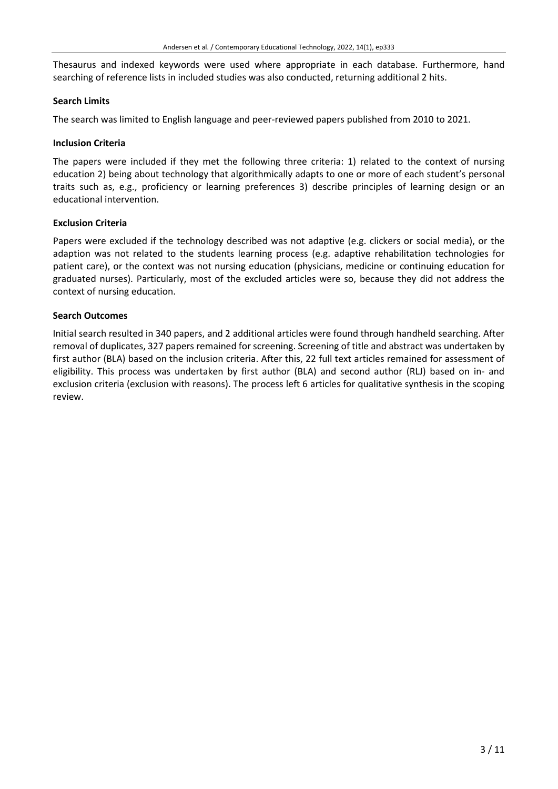Thesaurus and indexed keywords were used where appropriate in each database. Furthermore, hand searching of reference lists in included studies was also conducted, returning additional 2 hits.

# **Search Limits**

The search was limited to English language and peer-reviewed papers published from 2010 to 2021.

## **Inclusion Criteria**

The papers were included if they met the following three criteria: 1) related to the context of nursing education 2) being about technology that algorithmically adapts to one or more of each student's personal traits such as, e.g., proficiency or learning preferences 3) describe principles of learning design or an educational intervention.

## **Exclusion Criteria**

Papers were excluded if the technology described was not adaptive (e.g. clickers or social media), or the adaption was not related to the students learning process (e.g. adaptive rehabilitation technologies for patient care), or the context was not nursing education (physicians, medicine or continuing education for graduated nurses). Particularly, most of the excluded articles were so, because they did not address the context of nursing education.

## **Search Outcomes**

Initial search resulted in 340 papers, and 2 additional articles were found through handheld searching. After removal of duplicates, 327 papers remained for screening. Screening of title and abstract was undertaken by first author (BLA) based on the inclusion criteria. After this, 22 full text articles remained for assessment of eligibility. This process was undertaken by first author (BLA) and second author (RLJ) based on in- and exclusion criteria (exclusion with reasons). The process left 6 articles for qualitative synthesis in the scoping review.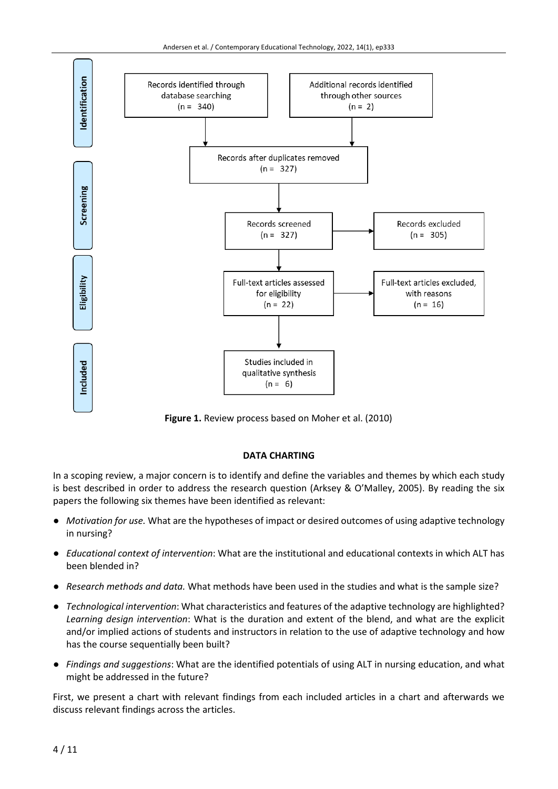

**Figure 1.** Review process based on Moher et al. (2010)

# **DATA CHARTING**

In a scoping review, a major concern is to identify and define the variables and themes by which each study is best described in order to address the research question (Arksey & O'Malley, 2005). By reading the six papers the following six themes have been identified as relevant:

- *Motivation for use.* What are the hypotheses of impact or desired outcomes of using adaptive technology in nursing?
- *Educational context of intervention*: What are the institutional and educational contexts in which ALT has been blended in?
- *Research methods and data.* What methods have been used in the studies and what is the sample size?
- *Technological intervention*: What characteristics and features of the adaptive technology are highlighted? *Learning design intervention*: What is the duration and extent of the blend, and what are the explicit and/or implied actions of students and instructors in relation to the use of adaptive technology and how has the course sequentially been built?
- *Findings and suggestions*: What are the identified potentials of using ALT in nursing education, and what might be addressed in the future?

First, we present a chart with relevant findings from each included articles in a chart and afterwards we discuss relevant findings across the articles.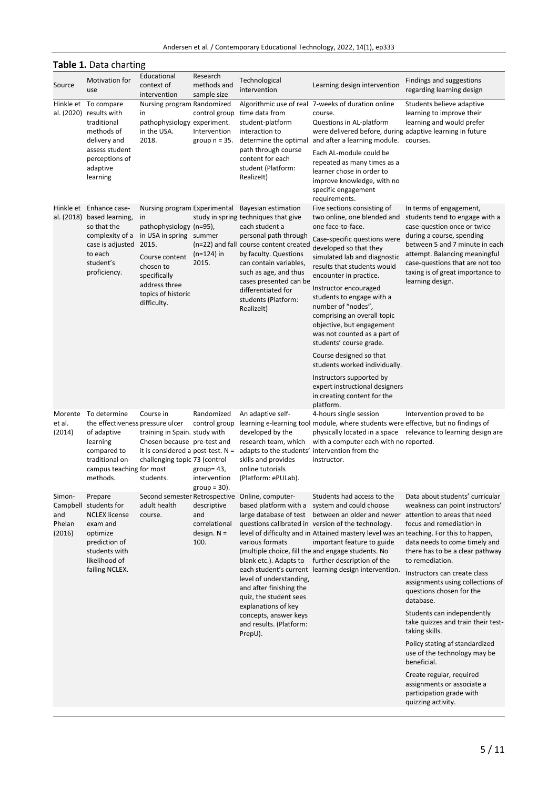| Andersen et al. / Contemporary Educational Technology, 2022, 14(1), ep333 |  |  |  |  |  |
|---------------------------------------------------------------------------|--|--|--|--|--|
|---------------------------------------------------------------------------|--|--|--|--|--|

| <b>Table 1.</b> Data charting                 |                                                                                                                                                       |                                                                                                                                                                                                        |                                                                                 |                                                                                                                                                                                                                                                                                                                   |                                                                                                                                                                                                                                                                                                                                                                                                                                                                                                                                                                                                             |                                                                                                                                                                                                                                                                                                                                                                                                                                                                                                                                                                                       |
|-----------------------------------------------|-------------------------------------------------------------------------------------------------------------------------------------------------------|--------------------------------------------------------------------------------------------------------------------------------------------------------------------------------------------------------|---------------------------------------------------------------------------------|-------------------------------------------------------------------------------------------------------------------------------------------------------------------------------------------------------------------------------------------------------------------------------------------------------------------|-------------------------------------------------------------------------------------------------------------------------------------------------------------------------------------------------------------------------------------------------------------------------------------------------------------------------------------------------------------------------------------------------------------------------------------------------------------------------------------------------------------------------------------------------------------------------------------------------------------|---------------------------------------------------------------------------------------------------------------------------------------------------------------------------------------------------------------------------------------------------------------------------------------------------------------------------------------------------------------------------------------------------------------------------------------------------------------------------------------------------------------------------------------------------------------------------------------|
| Source                                        | Motivation for<br>use                                                                                                                                 | Educational<br>context of<br>intervention                                                                                                                                                              | Research<br>methods and<br>sample size                                          | Technological<br>intervention                                                                                                                                                                                                                                                                                     | Learning design intervention                                                                                                                                                                                                                                                                                                                                                                                                                                                                                                                                                                                | Findings and suggestions<br>regarding learning design                                                                                                                                                                                                                                                                                                                                                                                                                                                                                                                                 |
| al. (2020)                                    | Hinkle et To compare<br>results with<br>traditional<br>methods of<br>delivery and<br>assess student<br>perceptions of<br>adaptive<br>learning         | Nursing program Randomized<br>in<br>pathophysiology experiment.<br>in the USA.<br>2018.                                                                                                                | control group<br>Intervention<br>group $n = 35$ .                               | time data from<br>student-platform<br>interaction to<br>path through course<br>content for each<br>student (Platform:<br>Realizelt)                                                                                                                                                                               | Algorithmic use of real 7-weeks of duration online<br>course.<br>Questions in AL-platform<br>were delivered before, during adaptive learning in future<br>determine the optimal and after a learning module. courses.<br>Each AL-module could be<br>repeated as many times as a<br>learner chose in order to<br>improve knowledge, with no<br>specific engagement<br>requirements.                                                                                                                                                                                                                          | Students believe adaptive<br>learning to improve their<br>learning and would prefer                                                                                                                                                                                                                                                                                                                                                                                                                                                                                                   |
|                                               | Hinkle et Enhance case-<br>al. (2018) based learning,<br>so that the<br>complexity of a<br>case is adjusted<br>to each<br>student's<br>proficiency.   | Nursing program Experimental<br>in<br>pathophysiology (n=95),<br>in USA in spring summer<br>2015.<br>Course content<br>chosen to<br>specifically<br>address three<br>topics of historic<br>difficulty. | $(n=124)$ in<br>2015.                                                           | Bayesian estimation<br>study in spring techniques that give<br>each student a<br>personal path through<br>(n=22) and fall course content created<br>by faculty. Questions<br>can contain variables,<br>such as age, and thus<br>cases presented can be<br>differentiated for<br>students (Platform:<br>Realizelt) | Five sections consisting of<br>two online, one blended and<br>one face-to-face.<br>Case-specific questions were<br>developed so that they<br>simulated lab and diagnostic<br>results that students would<br>encounter in practice.<br>Instructor encouraged<br>students to engage with a<br>number of "nodes",<br>comprising an overall topic<br>objective, but engagement<br>was not counted as a part of<br>students' course grade.<br>Course designed so that<br>students worked individually.<br>Instructors supported by<br>expert instructional designers<br>in creating content for the<br>platform. | In terms of engagement,<br>students tend to engage with a<br>case-question once or twice<br>during a course, spending<br>between 5 and 7 minute in each<br>attempt. Balancing meaningful<br>case-questions that are not too<br>taxing is of great importance to<br>learning design.                                                                                                                                                                                                                                                                                                   |
| Morente<br>et al.<br>(2014)                   | To determine<br>the effectiveness pressure ulcer<br>of adaptive<br>learning<br>compared to<br>traditional on-<br>campus teaching for most<br>methods. | Course in<br>training in Spain. study with<br>Chosen because pre-test and<br>it is considered a post-test. $N =$<br>challenging topic 73 (control<br>students.                                         | Randomized<br>control group<br>group= $43$ ,<br>intervention<br>group = $30$ ). | An adaptive self-<br>developed by the<br>research team, which<br>adapts to the students' intervention from the<br>skills and provides<br>online tutorials<br>(Platform: ePULab).                                                                                                                                  | 4-hours single session<br>learning e-learning tool module, where students were effective, but no findings of<br>with a computer each with no reported.<br>instructor.                                                                                                                                                                                                                                                                                                                                                                                                                                       | Intervention proved to be<br>physically located in a space relevance to learning design are                                                                                                                                                                                                                                                                                                                                                                                                                                                                                           |
| Simon-<br>Campbell<br>and<br>Phelan<br>(2016) | Prepare<br>students for<br><b>NCLEX</b> license<br>exam and<br>optimize<br>prediction of<br>students with<br>likelihood of<br>failing NCLEX.          | adult health<br>course.                                                                                                                                                                                | descriptive<br>and<br>correlational<br>design. $N =$<br>100.                    | Second semester Retrospective Online, computer-<br>based platform with a<br>large database of test<br>various formats<br>level of understanding,<br>and after finishing the<br>quiz, the student sees<br>explanations of key<br>concepts, answer keys<br>and results. (Platform:<br>PrepU).                       | Students had access to the<br>system and could choose<br>between an older and newer attention to areas that need<br>questions calibrated in version of the technology.<br>level of difficulty and in Attained mastery level was an teaching. For this to happen,<br>important feature to guide<br>(multiple choice, fill the and engage students. No<br>blank etc.). Adapts to further description of the<br>each student's current learning design intervention.                                                                                                                                           | Data about students' curricular<br>weakness can point instructors'<br>focus and remediation in<br>data needs to come timely and<br>there has to be a clear pathway<br>to remediation.<br>Instructors can create class<br>assignments using collections of<br>questions chosen for the<br>database.<br>Students can independently<br>take quizzes and train their test-<br>taking skills.<br>Policy stating af standardized<br>use of the technology may be<br>beneficial.<br>Create regular, required<br>assignments or associate a<br>participation grade with<br>quizzing activity. |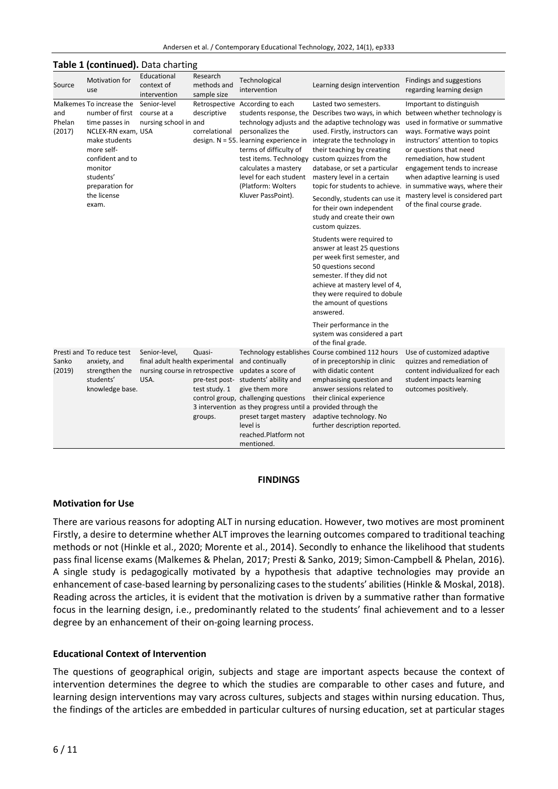|  | Andersen et al. / Contemporary Educational Technology, 2022, 14(1), ep333 |  |  |  |
|--|---------------------------------------------------------------------------|--|--|--|
|--|---------------------------------------------------------------------------|--|--|--|

|                         | Table 1 (continued). Data charting                                                                                                                                                                        |                                                                                             |                                        |                                                                                                                                                                                                                                                                                    |                                                                                                                                                                                                                                                                                                                                                                                      |                                                                                                                                                                                                                                                                                                                                                             |
|-------------------------|-----------------------------------------------------------------------------------------------------------------------------------------------------------------------------------------------------------|---------------------------------------------------------------------------------------------|----------------------------------------|------------------------------------------------------------------------------------------------------------------------------------------------------------------------------------------------------------------------------------------------------------------------------------|--------------------------------------------------------------------------------------------------------------------------------------------------------------------------------------------------------------------------------------------------------------------------------------------------------------------------------------------------------------------------------------|-------------------------------------------------------------------------------------------------------------------------------------------------------------------------------------------------------------------------------------------------------------------------------------------------------------------------------------------------------------|
| Source                  | <b>Motivation for</b><br>use                                                                                                                                                                              | Educational<br>context of<br>intervention                                                   | Research<br>methods and<br>sample size | Technological<br>intervention                                                                                                                                                                                                                                                      | Learning design intervention                                                                                                                                                                                                                                                                                                                                                         | Findings and suggestions<br>regarding learning design                                                                                                                                                                                                                                                                                                       |
| and<br>Phelan<br>(2017) | Malkemes To increase the<br>number of first<br>time passes in<br>NCLEX-RN exam, USA<br>make students<br>more self-<br>confident and to<br>monitor<br>students'<br>preparation for<br>the license<br>exam. | Senior-level<br>course at a<br>nursing school in and                                        | descriptive<br>correlational           | Retrospective According to each<br>personalizes the<br>design. N = 55. learning experience in<br>terms of difficulty of<br>calculates a mastery<br>level for each student<br>(Platform: Wolters<br>Kluver PassPoint).                                                              | Lasted two semesters.<br>students response, the Describes two ways, in which<br>technology adjusts and the adaptive technology was<br>used. Firstly, instructors can<br>integrate the technology in<br>their teaching by creating<br>test items. Technology custom quizzes from the<br>database, or set a particular<br>mastery level in a certain<br>topic for students to achieve. | Important to distinguish<br>between whether technology is<br>used in formative or summative<br>ways. Formative ways point<br>instructors' attention to topics<br>or questions that need<br>remediation, how student<br>engagement tends to increase<br>when adaptive learning is used<br>in summative ways, where their<br>mastery level is considered part |
|                         |                                                                                                                                                                                                           |                                                                                             |                                        |                                                                                                                                                                                                                                                                                    | Secondly, students can use it<br>for their own independent<br>study and create their own<br>custom quizzes.                                                                                                                                                                                                                                                                          | of the final course grade.                                                                                                                                                                                                                                                                                                                                  |
|                         |                                                                                                                                                                                                           |                                                                                             |                                        |                                                                                                                                                                                                                                                                                    | Students were required to<br>answer at least 25 questions<br>per week first semester, and<br>50 questions second<br>semester. If they did not<br>achieve at mastery level of 4,<br>they were required to dobule<br>the amount of questions<br>answered.                                                                                                                              |                                                                                                                                                                                                                                                                                                                                                             |
|                         |                                                                                                                                                                                                           |                                                                                             |                                        |                                                                                                                                                                                                                                                                                    | Their performance in the<br>system was considered a part<br>of the final grade.                                                                                                                                                                                                                                                                                                      |                                                                                                                                                                                                                                                                                                                                                             |
| Sanko<br>(2019)         | Presti and To reduce test<br>anxiety, and<br>strengthen the<br>students'<br>knowledge base.                                                                                                               | Senior-level,<br>final adult health experimental<br>nursing course in retrospective<br>USA. | Quasi-<br>test study. 1<br>groups.     | and continually<br>updates a score of<br>pre-test post- students' ability and<br>give them more<br>control group, challenging questions<br>3 intervention as they progress until a provided through the<br>preset target mastery<br>level is<br>reached.Platform not<br>mentioned. | Technology establishes Course combined 112 hours<br>of in preceptorship in clinic<br>with didatic content<br>emphasising question and<br>answer sessions related to<br>their clinical experience<br>adaptive technology. No<br>further description reported.                                                                                                                         | Use of customized adaptive<br>quizzes and remediation of<br>content individualized for each<br>student impacts learning<br>outcomes positively.                                                                                                                                                                                                             |

# **FINDINGS**

#### **Motivation for Use**

There are various reasons for adopting ALT in nursing education. However, two motives are most prominent Firstly, a desire to determine whether ALT improves the learning outcomes compared to traditional teaching methods or not (Hinkle et al., 2020; Morente et al., 2014). Secondly to enhance the likelihood that students pass final license exams (Malkemes & Phelan, 2017; Presti & Sanko, 2019; Simon-Campbell & Phelan, 2016). A single study is pedagogically motivated by a hypothesis that adaptive technologies may provide an enhancement of case-based learning by personalizing casesto the students' abilities(Hinkle & Moskal, 2018). Reading across the articles, it is evident that the motivation is driven by a summative rather than formative focus in the learning design, i.e., predominantly related to the students' final achievement and to a lesser degree by an enhancement of their on-going learning process.

# **Educational Context of Intervention**

The questions of geographical origin, subjects and stage are important aspects because the context of intervention determines the degree to which the studies are comparable to other cases and future, and learning design interventions may vary across cultures, subjects and stages within nursing education. Thus, the findings of the articles are embedded in particular cultures of nursing education, set at particular stages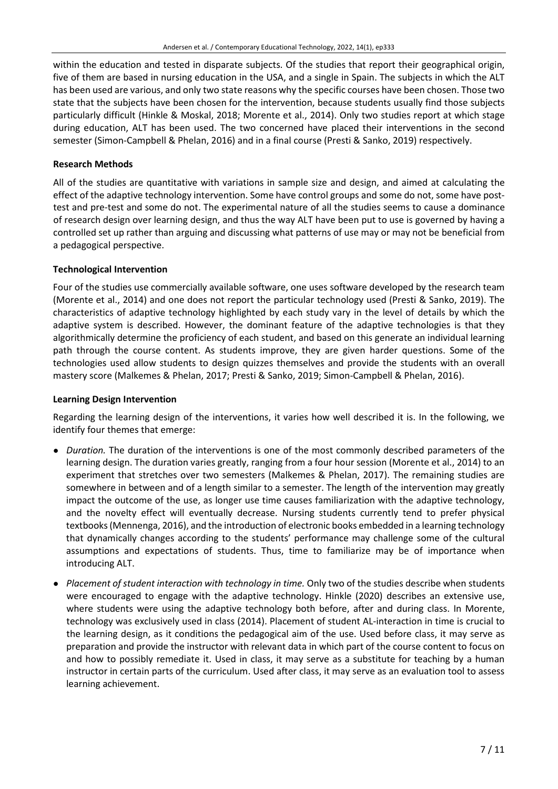within the education and tested in disparate subjects. Of the studies that report their geographical origin, five of them are based in nursing education in the USA, and a single in Spain. The subjects in which the ALT has been used are various, and only two state reasons why the specific courses have been chosen. Those two state that the subjects have been chosen for the intervention, because students usually find those subjects particularly difficult (Hinkle & Moskal, 2018; Morente et al., 2014). Only two studies report at which stage during education, ALT has been used. The two concerned have placed their interventions in the second semester (Simon-Campbell & Phelan, 2016) and in a final course (Presti & Sanko, 2019) respectively.

# **Research Methods**

All of the studies are quantitative with variations in sample size and design, and aimed at calculating the effect of the adaptive technology intervention. Some have control groups and some do not, some have posttest and pre-test and some do not. The experimental nature of all the studies seems to cause a dominance of research design over learning design, and thus the way ALT have been put to use is governed by having a controlled set up rather than arguing and discussing what patterns of use may or may not be beneficial from a pedagogical perspective.

# **Technological Intervention**

Four of the studies use commercially available software, one uses software developed by the research team (Morente et al., 2014) and one does not report the particular technology used (Presti & Sanko, 2019). The characteristics of adaptive technology highlighted by each study vary in the level of details by which the adaptive system is described. However, the dominant feature of the adaptive technologies is that they algorithmically determine the proficiency of each student, and based on this generate an individual learning path through the course content. As students improve, they are given harder questions. Some of the technologies used allow students to design quizzes themselves and provide the students with an overall mastery score (Malkemes & Phelan, 2017; Presti & Sanko, 2019; Simon-Campbell & Phelan, 2016).

# **Learning Design Intervention**

Regarding the learning design of the interventions, it varies how well described it is. In the following, we identify four themes that emerge:

- *Duration.* The duration of the interventions is one of the most commonly described parameters of the learning design. The duration varies greatly, ranging from a four hour session (Morente et al., 2014) to an experiment that stretches over two semesters (Malkemes & Phelan, 2017). The remaining studies are somewhere in between and of a length similar to a semester. The length of the intervention may greatly impact the outcome of the use, as longer use time causes familiarization with the adaptive technology, and the novelty effect will eventually decrease. Nursing students currently tend to prefer physical textbooks(Mennenga, 2016), and the introduction of electronic books embedded in a learning technology that dynamically changes according to the students' performance may challenge some of the cultural assumptions and expectations of students. Thus, time to familiarize may be of importance when introducing ALT.
- *Placement of student interaction with technology in time.* Only two of the studies describe when students were encouraged to engage with the adaptive technology. Hinkle (2020) describes an extensive use, where students were using the adaptive technology both before, after and during class. In Morente, technology was exclusively used in class (2014). Placement of student AL-interaction in time is crucial to the learning design, as it conditions the pedagogical aim of the use. Used before class, it may serve as preparation and provide the instructor with relevant data in which part of the course content to focus on and how to possibly remediate it. Used in class, it may serve as a substitute for teaching by a human instructor in certain parts of the curriculum. Used after class, it may serve as an evaluation tool to assess learning achievement.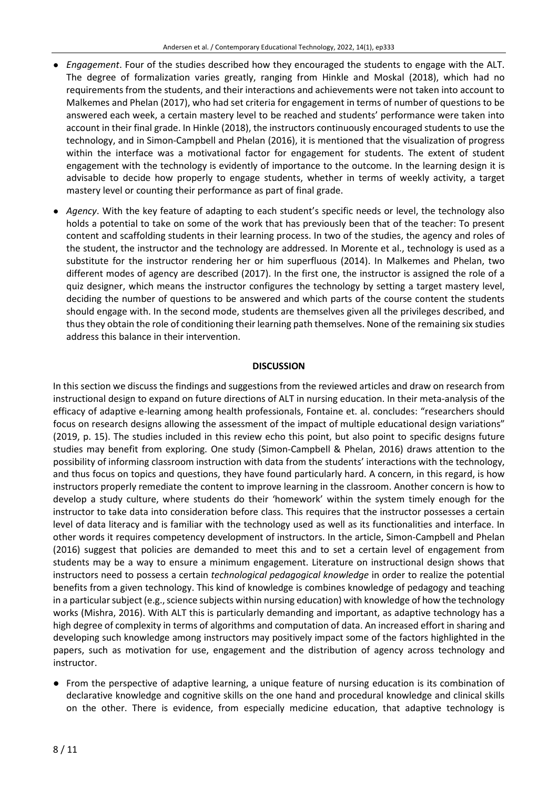- *Engagement*. Four of the studies described how they encouraged the students to engage with the ALT. The degree of formalization varies greatly, ranging from Hinkle and Moskal (2018), which had no requirements from the students, and their interactions and achievements were not taken into account to Malkemes and Phelan (2017), who had set criteria for engagement in terms of number of questions to be answered each week, a certain mastery level to be reached and students' performance were taken into account in their final grade. In Hinkle (2018), the instructors continuously encouraged students to use the technology, and in Simon-Campbell and Phelan (2016), it is mentioned that the visualization of progress within the interface was a motivational factor for engagement for students. The extent of student engagement with the technology is evidently of importance to the outcome. In the learning design it is advisable to decide how properly to engage students, whether in terms of weekly activity, a target mastery level or counting their performance as part of final grade.
- *Agency*. With the key feature of adapting to each student's specific needs or level, the technology also holds a potential to take on some of the work that has previously been that of the teacher: To present content and scaffolding students in their learning process. In two of the studies, the agency and roles of the student, the instructor and the technology are addressed. In Morente et al., technology is used as a substitute for the instructor rendering her or him superfluous (2014). In Malkemes and Phelan, two different modes of agency are described (2017). In the first one, the instructor is assigned the role of a quiz designer, which means the instructor configures the technology by setting a target mastery level, deciding the number of questions to be answered and which parts of the course content the students should engage with. In the second mode, students are themselves given all the privileges described, and thus they obtain the role of conditioning their learning path themselves. None of the remaining six studies address this balance in their intervention.

# **DISCUSSION**

In this section we discuss the findings and suggestions from the reviewed articles and draw on research from instructional design to expand on future directions of ALT in nursing education. In their meta-analysis of the efficacy of adaptive e-learning among health professionals, Fontaine et. al. concludes: "researchers should focus on research designs allowing the assessment of the impact of multiple educational design variations" (2019, p. 15). The studies included in this review echo this point, but also point to specific designs future studies may benefit from exploring. One study (Simon-Campbell & Phelan, 2016) draws attention to the possibility of informing classroom instruction with data from the students' interactions with the technology, and thus focus on topics and questions, they have found particularly hard. A concern, in this regard, is how instructors properly remediate the content to improve learning in the classroom. Another concern is how to develop a study culture, where students do their 'homework' within the system timely enough for the instructor to take data into consideration before class. This requires that the instructor possesses a certain level of data literacy and is familiar with the technology used as well as its functionalities and interface. In other words it requires competency development of instructors. In the article, Simon-Campbell and Phelan (2016) suggest that policies are demanded to meet this and to set a certain level of engagement from students may be a way to ensure a minimum engagement. Literature on instructional design shows that instructors need to possess a certain *technological pedagogical knowledge* in order to realize the potential benefits from a given technology. This kind of knowledge is combines knowledge of pedagogy and teaching in a particular subject (e.g., science subjects within nursing education) with knowledge of how the technology works (Mishra, 2016). With ALT this is particularly demanding and important, as adaptive technology has a high degree of complexity in terms of algorithms and computation of data. An increased effort in sharing and developing such knowledge among instructors may positively impact some of the factors highlighted in the papers, such as motivation for use, engagement and the distribution of agency across technology and instructor.

● From the perspective of adaptive learning, a unique feature of nursing education is its combination of declarative knowledge and cognitive skills on the one hand and procedural knowledge and clinical skills on the other. There is evidence, from especially medicine education, that adaptive technology is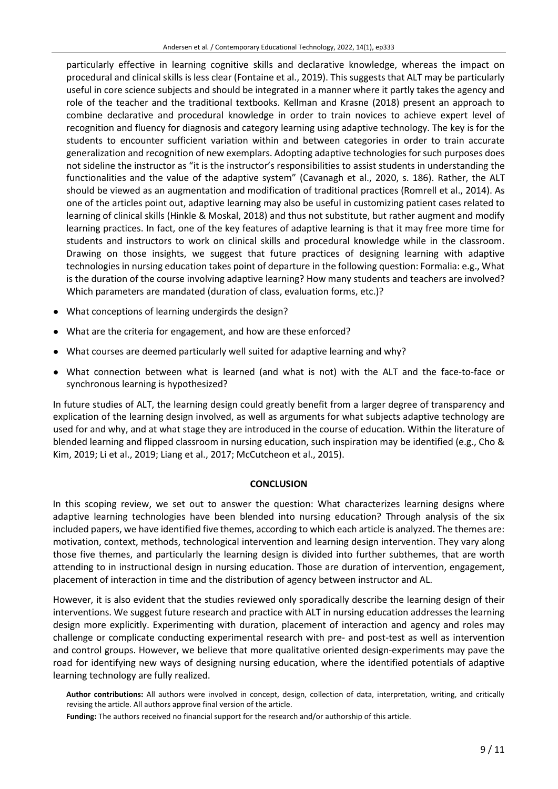particularly effective in learning cognitive skills and declarative knowledge, whereas the impact on procedural and clinical skills is less clear (Fontaine et al., 2019). This suggests that ALT may be particularly useful in core science subjects and should be integrated in a manner where it partly takes the agency and role of the teacher and the traditional textbooks. Kellman and Krasne (2018) present an approach to combine declarative and procedural knowledge in order to train novices to achieve expert level of recognition and fluency for diagnosis and category learning using adaptive technology. The key is for the students to encounter sufficient variation within and between categories in order to train accurate generalization and recognition of new exemplars. Adopting adaptive technologies forsuch purposes does not sideline the instructor as "it is the instructor's responsibilities to assist students in understanding the functionalities and the value of the adaptive system" (Cavanagh et al., 2020, s. 186). Rather, the ALT should be viewed as an augmentation and modification of traditional practices (Romrell et al., 2014). As one of the articles point out, adaptive learning may also be useful in customizing patient cases related to learning of clinical skills (Hinkle & Moskal, 2018) and thus not substitute, but rather augment and modify learning practices. In fact, one of the key features of adaptive learning is that it may free more time for students and instructors to work on clinical skills and procedural knowledge while in the classroom. Drawing on those insights, we suggest that future practices of designing learning with adaptive technologies in nursing education takes point of departure in the following question: Formalia: e.g., What is the duration of the course involving adaptive learning? How many students and teachers are involved? Which parameters are mandated (duration of class, evaluation forms, etc.)?

- What conceptions of learning undergirds the design?
- What are the criteria for engagement, and how are these enforced?
- What courses are deemed particularly well suited for adaptive learning and why?
- What connection between what is learned (and what is not) with the ALT and the face-to-face or synchronous learning is hypothesized?

In future studies of ALT, the learning design could greatly benefit from a larger degree of transparency and explication of the learning design involved, as well as arguments for what subjects adaptive technology are used for and why, and at what stage they are introduced in the course of education. Within the literature of blended learning and flipped classroom in nursing education, such inspiration may be identified (e.g., Cho & Kim, 2019; Li et al., 2019; Liang et al., 2017; McCutcheon et al., 2015).

# **CONCLUSION**

In this scoping review, we set out to answer the question: What characterizes learning designs where adaptive learning technologies have been blended into nursing education? Through analysis of the six included papers, we have identified five themes, according to which each article is analyzed. The themes are: motivation, context, methods, technological intervention and learning design intervention. They vary along those five themes, and particularly the learning design is divided into further subthemes, that are worth attending to in instructional design in nursing education. Those are duration of intervention, engagement, placement of interaction in time and the distribution of agency between instructor and AL.

However, it is also evident that the studies reviewed only sporadically describe the learning design of their interventions. We suggest future research and practice with ALT in nursing education addresses the learning design more explicitly. Experimenting with duration, placement of interaction and agency and roles may challenge or complicate conducting experimental research with pre- and post-test as well as intervention and control groups. However, we believe that more qualitative oriented design-experiments may pave the road for identifying new ways of designing nursing education, where the identified potentials of adaptive learning technology are fully realized.

**Author contributions:** All authors were involved in concept, design, collection of data, interpretation, writing, and critically revising the article. All authors approve final version of the article.

**Funding:** The authors received no financial support for the research and/or authorship of this article.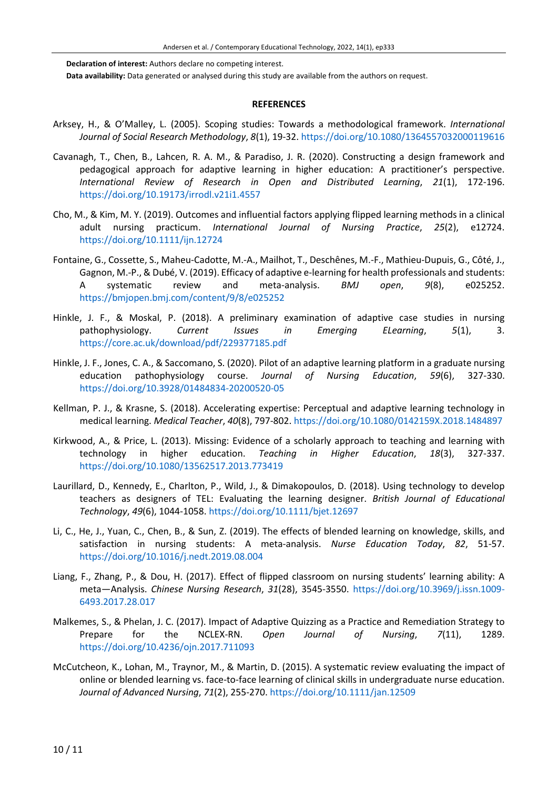**Declaration of interest:** Authors declare no competing interest. **Data availability:** Data generated or analysed during this study are available from the authors on request.

#### **REFERENCES**

- Arksey, H., & O'Malley, L. (2005). Scoping studies: Towards a methodological framework. *International Journal of Social Research Methodology*, *8*(1), 19-32. <https://doi.org/10.1080/1364557032000119616>
- Cavanagh, T., Chen, B., Lahcen, R. A. M., & Paradiso, J. R. (2020). Constructing a design framework and pedagogical approach for adaptive learning in higher education: A practitioner's perspective. *International Review of Research in Open and Distributed Learning*, *21*(1), 172-196. <https://doi.org/10.19173/irrodl.v21i1.4557>
- Cho, M., & Kim, M. Y. (2019). Outcomes and influential factors applying flipped learning methods in a clinical adult nursing practicum. *International Journal of Nursing Practice*, *25*(2), e12724. <https://doi.org/10.1111/ijn.12724>
- Fontaine, G., Cossette, S., Maheu-Cadotte, M.-A., Mailhot, T., Deschênes, M.-F., Mathieu-Dupuis, G., Côté, J., Gagnon, M.-P., & Dubé, V. (2019). Efficacy of adaptive e-learning for health professionals and students: A systematic review and meta-analysis. *BMJ open*, *9*(8), e025252. <https://bmjopen.bmj.com/content/9/8/e025252>
- Hinkle, J. F., & Moskal, P. (2018). A preliminary examination of adaptive case studies in nursing pathophysiology. *Current Issues in Emerging ELearning*, *5*(1), 3. <https://core.ac.uk/download/pdf/229377185.pdf>
- Hinkle, J. F., Jones, C. A., & Saccomano, S. (2020). Pilot of an adaptive learning platform in a graduate nursing education pathophysiology course. *Journal of Nursing Education*, *59*(6), 327-330. <https://doi.org/10.3928/01484834-20200520-05>
- Kellman, P. J., & Krasne, S. (2018). Accelerating expertise: Perceptual and adaptive learning technology in medical learning. *Medical Teacher*, *40*(8), 797-802. <https://doi.org/10.1080/0142159X.2018.1484897>
- Kirkwood, A., & Price, L. (2013). Missing: Evidence of a scholarly approach to teaching and learning with technology in higher education. *Teaching in Higher Education*, *18*(3), 327-337. <https://doi.org/10.1080/13562517.2013.773419>
- Laurillard, D., Kennedy, E., Charlton, P., Wild, J., & Dimakopoulos, D. (2018). Using technology to develop teachers as designers of TEL: Evaluating the learning designer. *British Journal of Educational Technology*, *49*(6), 1044-1058. <https://doi.org/10.1111/bjet.12697>
- Li, C., He, J., Yuan, C., Chen, B., & Sun, Z. (2019). The effects of blended learning on knowledge, skills, and satisfaction in nursing students: A meta-analysis. *Nurse Education Today*, *82*, 51-57. <https://doi.org/10.1016/j.nedt.2019.08.004>
- Liang, F., Zhang, P., & Dou, H. (2017). Effect of flipped classroom on nursing students' learning ability: A meta—Analysis. *Chinese Nursing Research*, *31*(28), 3545-3550. [https://doi.org/10.3969/j.issn.1009-](https://doi.org/10.3969/j.issn.1009-6493.2017.28.017) [6493.2017.28.017](https://doi.org/10.3969/j.issn.1009-6493.2017.28.017)
- Malkemes, S., & Phelan, J. C. (2017). Impact of Adaptive Quizzing as a Practice and Remediation Strategy to Prepare for the NCLEX-RN. *Open Journal of Nursing*, *7*(11), 1289. <https://doi.org/10.4236/ojn.2017.711093>
- McCutcheon, K., Lohan, M., Traynor, M., & Martin, D. (2015). A systematic review evaluating the impact of online or blended learning vs. face-to-face learning of clinical skills in undergraduate nurse education. *Journal of Advanced Nursing*, *71*(2), 255-270. <https://doi.org/10.1111/jan.12509>